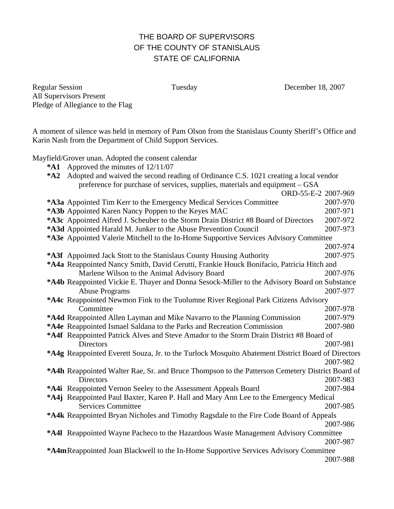# THE BOARD OF SUPERVISORS OF THE COUNTY OF STANISLAUS STATE OF CALIFORNIA

Regular Session Tuesday December 18, 2007 All Supervisors Present Pledge of Allegiance to the Flag

A moment of silence was held in memory of Pam Olson from the Stanislaus County Sheriff's Office and Karin Nash from the Department of Child Support Services.

Mayfield/Grover unan. Adopted the consent calendar

**\*A1** Approved the minutes of 12/11/07

| *A1                                                                                             | Approved the minutes of $12/11/07$                                                                |          |
|-------------------------------------------------------------------------------------------------|---------------------------------------------------------------------------------------------------|----------|
| $*A2$                                                                                           | Adopted and waived the second reading of Ordinance C.S. 1021 creating a local vendor              |          |
|                                                                                                 | preference for purchase of services, supplies, materials and equipment – GSA                      |          |
|                                                                                                 | ORD-55-E-2 2007-969                                                                               |          |
|                                                                                                 | *A3a Appointed Tim Kerr to the Emergency Medical Services Committee                               | 2007-970 |
|                                                                                                 | *A3b Appointed Karen Nancy Poppen to the Keyes MAC                                                | 2007-971 |
|                                                                                                 | *A3c Appointed Alfred J. Scheuber to the Storm Drain District #8 Board of Directors               | 2007-972 |
|                                                                                                 | *A3d Appointed Harald M. Junker to the Abuse Prevention Council                                   | 2007-973 |
|                                                                                                 | *A3e Appointed Valerie Mitchell to the In-Home Supportive Services Advisory Committee             |          |
|                                                                                                 |                                                                                                   | 2007-974 |
|                                                                                                 | *A3f Appointed Jack Stott to the Stanislaus County Housing Authority                              | 2007-975 |
|                                                                                                 | *A4a Reappointed Nancy Smith, David Cerutti, Frankie Houck Bonifacio, Patricia Hitch and          |          |
|                                                                                                 | Marlene Wilson to the Animal Advisory Board                                                       | 2007-976 |
|                                                                                                 | *A4b Reappointed Vickie E. Thayer and Donna Sesock-Miller to the Advisory Board on Substance      |          |
|                                                                                                 | <b>Abuse Programs</b>                                                                             | 2007-977 |
|                                                                                                 | *A4c Reappointed Newmon Fink to the Tuolumne River Regional Park Citizens Advisory                |          |
|                                                                                                 | Committee                                                                                         | 2007-978 |
|                                                                                                 | *A4d Reappointed Allen Layman and Mike Navarro to the Planning Commission                         | 2007-979 |
|                                                                                                 | *A4e Reappointed Ismael Saldana to the Parks and Recreation Commission                            | 2007-980 |
|                                                                                                 | *A4f Reappointed Patrick Alves and Steve Amador to the Storm Drain District #8 Board of           |          |
|                                                                                                 | <b>Directors</b>                                                                                  | 2007-981 |
|                                                                                                 | *A4g Reappointed Everett Souza, Jr. to the Turlock Mosquito Abatement District Board of Directors |          |
|                                                                                                 |                                                                                                   | 2007-982 |
| *A4h Reappointed Walter Rae, Sr. and Bruce Thompson to the Patterson Cemetery District Board of |                                                                                                   |          |
|                                                                                                 | Directors                                                                                         | 2007-983 |
|                                                                                                 | *A4i Reappointed Vernon Seeley to the Assessment Appeals Board                                    | 2007-984 |
|                                                                                                 | *A4j Reappointed Paul Baxter, Karen P. Hall and Mary Ann Lee to the Emergency Medical             |          |
|                                                                                                 | <b>Services Committee</b>                                                                         | 2007-985 |
|                                                                                                 | *A4k Reappointed Bryan Nicholes and Timothy Ragsdale to the Fire Code Board of Appeals            |          |
|                                                                                                 |                                                                                                   | 2007-986 |
|                                                                                                 | *A4I Reappointed Wayne Pacheco to the Hazardous Waste Management Advisory Committee               |          |
|                                                                                                 |                                                                                                   | 2007-987 |
|                                                                                                 | *A4mReappointed Joan Blackwell to the In-Home Supportive Services Advisory Committee              |          |

2007-988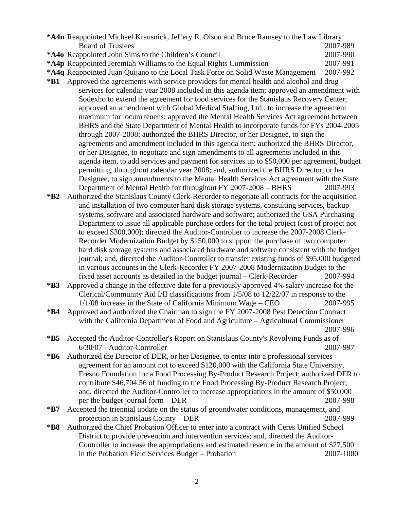- **\*A4n** Reappointed Michael Krausnick, Jeffery R. Olson and Bruce Ramsey to the Law Library Board of Trustees 2007-989
- **\*A4o** Reappointed John Sims to the Children's Council 2007-990
- **\*A4p** Reappointed Jeremiah Williams to the Equal Rights Commission 2007-991

**\*A4q** Reappointed Juan Quijano to the Local Task Force on Solid Waste Management 2007-992

- **\*B1** Approved the agreements with service providers for mental health and alcohol and drug services for calendar year 2008 included in this agenda item; approved an amendment with Sodexho to extend the agreement for food services for the Stanislaus Recovery Center; approved an amendment with Global Medical Staffing, Ltd., to increase the agreement maximum for locum tenens; approved the Mental Health Services Act agreement between BHRS and the State Department of Mental Health to incorporate funds for FYs 2004-2005 through 2007-2008; authorized the BHRS Director, or her Designee, to sign the agreements and amendment included in this agenda item; authorized the BHRS Director, or her Designee, to negotiate and sign amendments to all agreements included in this agenda item, to add services and payment for services up to \$50,000 per agreement, budget permitting, throughout calendar year 2008; and, authorized the BHRS Director, or her Designee, to sign amendments to the Mental Health Services Act agreement with the State Department of Mental Health for throughout FY 2007-2008 – BHRS 2007-993
- **\*B2** Authorized the Stanislaus County Clerk-Recorder to negotiate all contracts for the acquisition and installation of two computer hard disk storage systems, consulting services, backup systems, software and associated hardware and software; authorized the GSA Purchasing Department to issue all applicable purchase orders for the total project (cost of project not to exceed \$300,000); directed the Auditor-Controller to increase the 2007-2008 Clerk-Recorder Modernization Budget by \$150,000 to support the purchase of two computer hard disk storage systems and associated hardware and software consistent with the budget journal; and, directed the Auditor-Controller to transfer existing funds of \$95,000 budgeted in various accounts in the Clerk-Recorder FY 2007-2008 Modernization Budget to the fixed asset accounts as detailed in the budget journal – Clerk-Recorder 2007-994
- **\*B3** Approved a change in the effective date for a previously approved 4% salary increase for the Clerical/Community Aid I/II classifications from 1/5/08 to 12/22/07 in response to the 1/1/08 increase in the State of California Minimum Wage – CEO 2007-995
- **\*B4** Approved and authorized the Chairman to sign the FY 2007-2008 Pest Detection Contract with the California Department of Food and Agriculture – Agricultural Commissioner 2007-996
- **\*B5** Accepted the Auditor-Controller's Report on Stanislaus County's Revolving Funds as of 6/30/07 - Auditor-Controller 2007-997
- **\*B6** Authorized the Director of DER, or her Designee, to enter into a professional services agreement for an amount not to exceed \$120,000 with the California State University, Fresno Foundation for a Food Processing By-Product Research Project; authorized DER to contribute \$46,704.56 of funding to the Food Processing By-Product Research Project; and, directed the Auditor-Controller to increase appropriations in the amount of \$50,000 per the budget journal form – DER 2007-998
- **\*B7** Accepted the triennial update on the status of groundwater conditions, management, and protection in Stanislaus County – DER 2007-999
- **\*B8** Authorized the Chief Probation Officer to enter into a contract with Ceres Unified School District to provide prevention and intervention services; and, directed the Auditor-Controller to increase the appropriations and estimated revenue in the amount of \$27,500 in the Probation Field Services Budget – Probation 2007-1000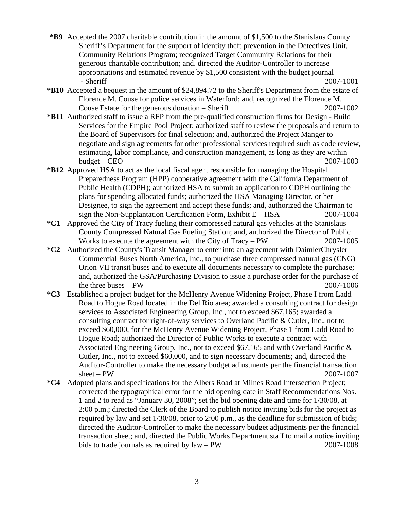- **\*B9** Accepted the 2007 charitable contribution in the amount of \$1,500 to the Stanislaus County Sheriff's Department for the support of identity theft prevention in the Detectives Unit, Community Relations Program; recognized Target Community Relations for their generous charitable contribution; and, directed the Auditor-Controller to increase appropriations and estimated revenue by \$1,500 consistent with the budget journal - Sheriff 2007-1001
- **\*B10** Accepted a bequest in the amount of \$24,894.72 to the Sheriff's Department from the estate of Florence M. Couse for police services in Waterford; and, recognized the Florence M. Couse Estate for the generous donation – Sheriff 2007-1002
- **\*B11** Authorized staff to issue a RFP from the pre-qualified construction firms for Design Build Services for the Empire Pool Project; authorized staff to review the proposals and return to the Board of Supervisors for final selection; and, authorized the Project Manger to negotiate and sign agreements for other professional services required such as code review, estimating, labor compliance, and construction management, as long as they are within budget – CEO 2007-1003
- **\*B12** Approved HSA to act as the local fiscal agent responsible for managing the Hospital Preparedness Program (HPP) cooperative agreement with the California Department of Public Health (CDPH); authorized HSA to submit an application to CDPH outlining the plans for spending allocated funds; authorized the HSA Managing Director, or her Designee, to sign the agreement and accept these funds; and, authorized the Chairman to sign the Non-Supplantation Certification Form, Exhibit  $E - HSA$  2007-1004
- **\*C1** Approved the City of Tracy fueling their compressed natural gas vehicles at the Stanislaus County Compressed Natural Gas Fueling Station; and, authorized the Director of Public Works to execute the agreement with the City of Tracy – PW 2007-1005
- **\*C2** Authorized the County's Transit Manager to enter into an agreement with DaimlerChrysler Commercial Buses North America, Inc., to purchase three compressed natural gas (CNG) Orion VII transit buses and to execute all documents necessary to complete the purchase; and, authorized the GSA/Purchasing Division to issue a purchase order for the purchase of the three buses – PW 2007-1006
- **\*C3** Established a project budget for the McHenry Avenue Widening Project, Phase I from Ladd Road to Hogue Road located in the Del Rio area; awarded a consulting contract for design services to Associated Engineering Group, Inc., not to exceed \$67,165; awarded a consulting contract for right-of-way services to Overland Pacific & Cutler, Inc., not to exceed \$60,000, for the McHenry Avenue Widening Project, Phase 1 from Ladd Road to Hogue Road; authorized the Director of Public Works to execute a contract with Associated Engineering Group, Inc., not to exceed \$67,165 and with Overland Pacific & Cutler, Inc., not to exceed \$60,000, and to sign necessary documents; and, directed the Auditor-Controller to make the necessary budget adjustments per the financial transaction sheet – PW 2007-1007
- **\*C4** Adopted plans and specifications for the Albers Road at Milnes Road Intersection Project; corrected the typographical error for the bid opening date in Staff Recommendations Nos. 1 and 2 to read as "January 30, 2008"; set the bid opening date and time for 1/30/08, at 2:00 p.m.; directed the Clerk of the Board to publish notice inviting bids for the project as required by law and set 1/30/08, prior to 2:00 p.m., as the deadline for submission of bids; directed the Auditor-Controller to make the necessary budget adjustments per the financial transaction sheet; and, directed the Public Works Department staff to mail a notice inviting bids to trade journals as required by law – PW 2007-1008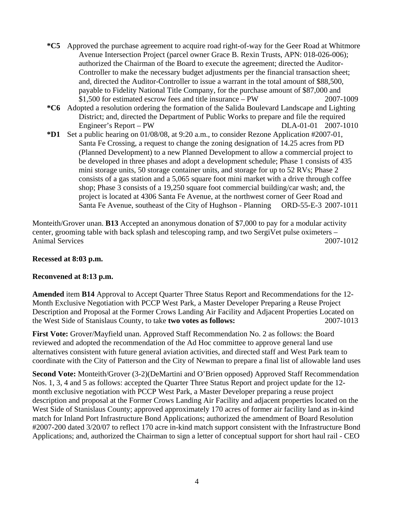- **\*C5** Approved the purchase agreement to acquire road right-of-way for the Geer Road at Whitmore Avenue Intersection Project (parcel owner Grace B. Rexin Trusts, APN: 018-026-006); authorized the Chairman of the Board to execute the agreement; directed the Auditor-Controller to make the necessary budget adjustments per the financial transaction sheet; and, directed the Auditor-Controller to issue a warrant in the total amount of \$88,500, payable to Fidelity National Title Company, for the purchase amount of \$87,000 and \$1,500 for estimated escrow fees and title insurance – PW 2007-1009
- **\*C6** Adopted a resolution ordering the formation of the Salida Boulevard Landscape and Lighting District; and, directed the Department of Public Works to prepare and file the required Engineer's Report – PW DLA-01-01 2007-1010
- **\*D1** Set a public hearing on 01/08/08, at 9:20 a.m., to consider Rezone Application #2007-01, Santa Fe Crossing, a request to change the zoning designation of 14.25 acres from PD (Planned Development) to a new Planned Development to allow a commercial project to be developed in three phases and adopt a development schedule; Phase 1 consists of 435 mini storage units, 50 storage container units, and storage for up to 52 RVs; Phase 2 consists of a gas station and a 5,065 square foot mini market with a drive through coffee shop; Phase 3 consists of a 19,250 square foot commercial building/car wash; and, the project is located at 4306 Santa Fe Avenue, at the northwest corner of Geer Road and Santa Fe Avenue, southeast of the City of Hughson - Planning ORD-55-E-3 2007-1011

Monteith/Grover unan. **B13** Accepted an anonymous donation of \$7,000 to pay for a modular activity center, grooming table with back splash and telescoping ramp, and two SergiVet pulse oximeters – Animal Services 2007-1012

#### **Recessed at 8:03 p.m.**

## **Reconvened at 8:13 p.m.**

**Amended** item **B14** Approval to Accept Quarter Three Status Report and Recommendations for the 12- Month Exclusive Negotiation with PCCP West Park, a Master Developer Preparing a Reuse Project Description and Proposal at the Former Crows Landing Air Facility and Adjacent Properties Located on the West Side of Stanislaus County, to take **two votes as follows:** 2007-1013

**First Vote:** Grover/Mayfield unan. Approved Staff Recommendation No. 2 as follows: the Board reviewed and adopted the recommendation of the Ad Hoc committee to approve general land use alternatives consistent with future general aviation activities, and directed staff and West Park team to coordinate with the City of Patterson and the City of Newman to prepare a final list of allowable land uses

**Second Vote:** Monteith/Grover (3-2)(DeMartini and O'Brien opposed) Approved Staff Recommendation Nos. 1, 3, 4 and 5 as follows: accepted the Quarter Three Status Report and project update for the 12 month exclusive negotiation with PCCP West Park, a Master Developer preparing a reuse project description and proposal at the Former Crows Landing Air Facility and adjacent properties located on the West Side of Stanislaus County; approved approximately 170 acres of former air facility land as in-kind match for Inland Port Infrastructure Bond Applications; authorized the amendment of Board Resolution #2007-200 dated 3/20/07 to reflect 170 acre in-kind match support consistent with the Infrastructure Bond Applications; and, authorized the Chairman to sign a letter of conceptual support for short haul rail - CEO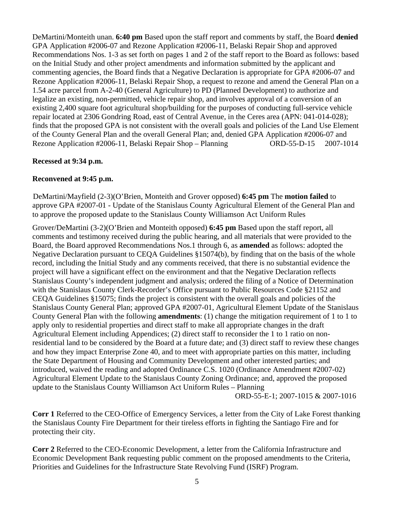DeMartini/Monteith unan. **6:40 pm** Based upon the staff report and comments by staff, the Board **denied** GPA Application #2006-07 and Rezone Application #2006-11, Belaski Repair Shop and approved Recommendations Nos. 1-3 as set forth on pages 1 and 2 of the staff report to the Board as follows: based on the Initial Study and other project amendments and information submitted by the applicant and commenting agencies, the Board finds that a Negative Declaration is appropriate for GPA #2006-07 and Rezone Application #2006-11, Belaski Repair Shop, a request to rezone and amend the General Plan on a 1.54 acre parcel from A-2-40 (General Agriculture) to PD (Planned Development) to authorize and legalize an existing, non-permitted, vehicle repair shop, and involves approval of a conversion of an existing 2,400 square foot agricultural shop/building for the purposes of conducting full-service vehicle repair located at 2306 Gondring Road, east of Central Avenue, in the Ceres area (APN: 041-014-028); finds that the proposed GPA is not consistent with the overall goals and policies of the Land Use Element of the County General Plan and the overall General Plan; and, denied GPA Application #2006-07 and Rezone Application #2006-11, Belaski Repair Shop – Planning ORD-55-D-15 2007-1014

## **Recessed at 9:34 p.m.**

#### **Reconvened at 9:45 p.m.**

DeMartini/Mayfield (2-3)(O'Brien, Monteith and Grover opposed) **6:45 pm** The **motion failed** to approve GPA #2007-01 - Update of the Stanislaus County Agricultural Element of the General Plan and to approve the proposed update to the Stanislaus County Williamson Act Uniform Rules

Grover/DeMartini (3-2)(O'Brien and Monteith opposed) **6:45 pm** Based upon the staff report, all comments and testimony received during the public hearing, and all materials that were provided to the Board, the Board approved Recommendations Nos.1 through 6, as **amended** as follows: adopted the Negative Declaration pursuant to CEQA Guidelines §15074(b), by finding that on the basis of the whole record, including the Initial Study and any comments received, that there is no substantial evidence the project will have a significant effect on the environment and that the Negative Declaration reflects Stanislaus County's independent judgment and analysis; ordered the filing of a Notice of Determination with the Stanislaus County Clerk-Recorder's Office pursuant to Public Resources Code §21152 and CEQA Guidelines §15075; finds the project is consistent with the overall goals and policies of the Stanislaus County General Plan; approved GPA #2007-01, Agricultural Element Update of the Stanislaus County General Plan with the following **amendments**: (1) change the mitigation requirement of 1 to 1 to apply only to residential properties and direct staff to make all appropriate changes in the draft Agricultural Element including Appendices; (2) direct staff to reconsider the 1 to 1 ratio on nonresidential land to be considered by the Board at a future date; and (3) direct staff to review these changes and how they impact Enterprise Zone 40, and to meet with appropriate parties on this matter, including the State Department of Housing and Community Development and other interested parties; and introduced, waived the reading and adopted Ordinance C.S. 1020 (Ordinance Amendment #2007-02) Agricultural Element Update to the Stanislaus County Zoning Ordinance; and, approved the proposed update to the Stanislaus County Williamson Act Uniform Rules – Planning

ORD-55-E-1; 2007-1015 & 2007-1016

**Corr 1** Referred to the CEO-Office of Emergency Services, a letter from the City of Lake Forest thanking the Stanislaus County Fire Department for their tireless efforts in fighting the Santiago Fire and for protecting their city.

**Corr 2** Referred to the CEO-Economic Development, a letter from the California Infrastructure and Economic Development Bank requesting public comment on the proposed amendments to the Criteria, Priorities and Guidelines for the Infrastructure State Revolving Fund (ISRF) Program.